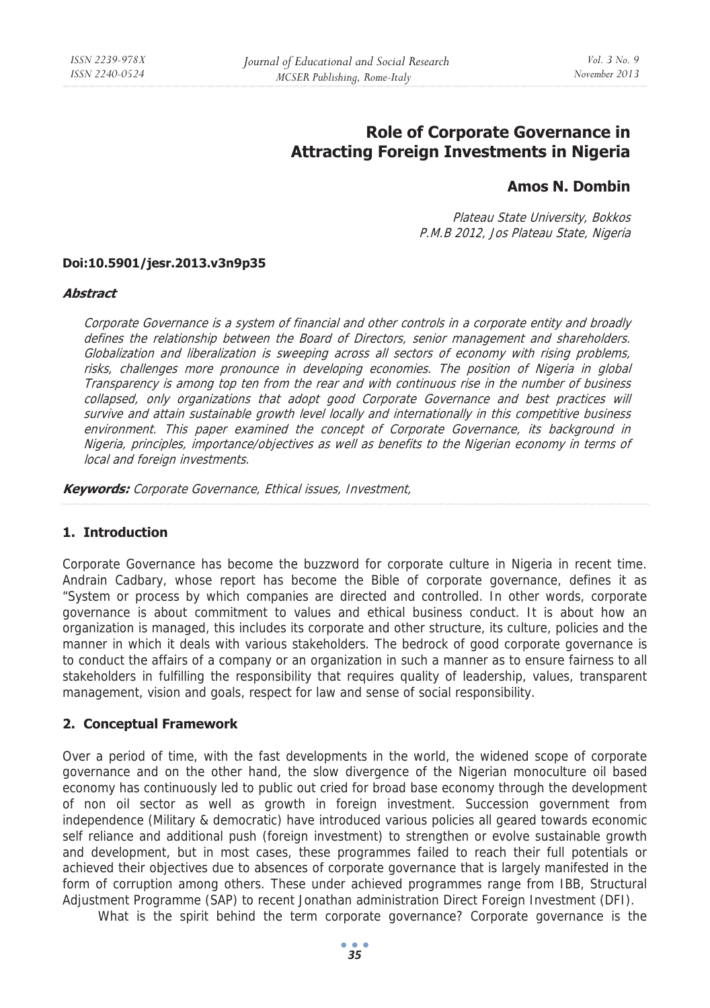# **Role of Corporate Governance in Attracting Foreign Investments in Nigeria**

# **Amos N. Dombin**

Plateau State University, Bokkos P.M.B 2012, Jos Plateau State, Nigeria

#### **Doi:10.5901/jesr.2013.v3n9p35**

#### **Abstract**

Corporate Governance is a system of financial and other controls in a corporate entity and broadly defines the relationship between the Board of Directors, senior management and shareholders. Globalization and liberalization is sweeping across all sectors of economy with rising problems, risks, challenges more pronounce in developing economies. The position of Nigeria in global Transparency is among top ten from the rear and with continuous rise in the number of business collapsed, only organizations that adopt good Corporate Governance and best practices will survive and attain sustainable growth level locally and internationally in this competitive business environment. This paper examined the concept of Corporate Governance, its background in Nigeria, principles, importance/objectives as well as benefits to the Nigerian economy in terms of local and foreign investments.

**Keywords:** Corporate Governance, Ethical issues, Investment,

### **1. Introduction**

Corporate Governance has become the buzzword for corporate culture in Nigeria in recent time. Andrain Cadbary, whose report has become the Bible of corporate governance, defines it as "System or process by which companies are directed and controlled. In other words, corporate governance is about commitment to values and ethical business conduct. It is about how an organization is managed, this includes its corporate and other structure, its culture, policies and the manner in which it deals with various stakeholders. The bedrock of good corporate governance is to conduct the affairs of a company or an organization in such a manner as to ensure fairness to all stakeholders in fulfilling the responsibility that requires quality of leadership, values, transparent management, vision and goals, respect for law and sense of social responsibility.

#### **2. Conceptual Framework**

Over a period of time, with the fast developments in the world, the widened scope of corporate governance and on the other hand, the slow divergence of the Nigerian monoculture oil based economy has continuously led to public out cried for broad base economy through the development of non oil sector as well as growth in foreign investment. Succession government from independence (Military & democratic) have introduced various policies all geared towards economic self reliance and additional push (foreign investment) to strengthen or evolve sustainable growth and development, but in most cases, these programmes failed to reach their full potentials or achieved their objectives due to absences of corporate governance that is largely manifested in the form of corruption among others. These under achieved programmes range from IBB, Structural Adjustment Programme (SAP) to recent Jonathan administration Direct Foreign Investment (DFI).

What is the spirit behind the term corporate governance? Corporate governance is the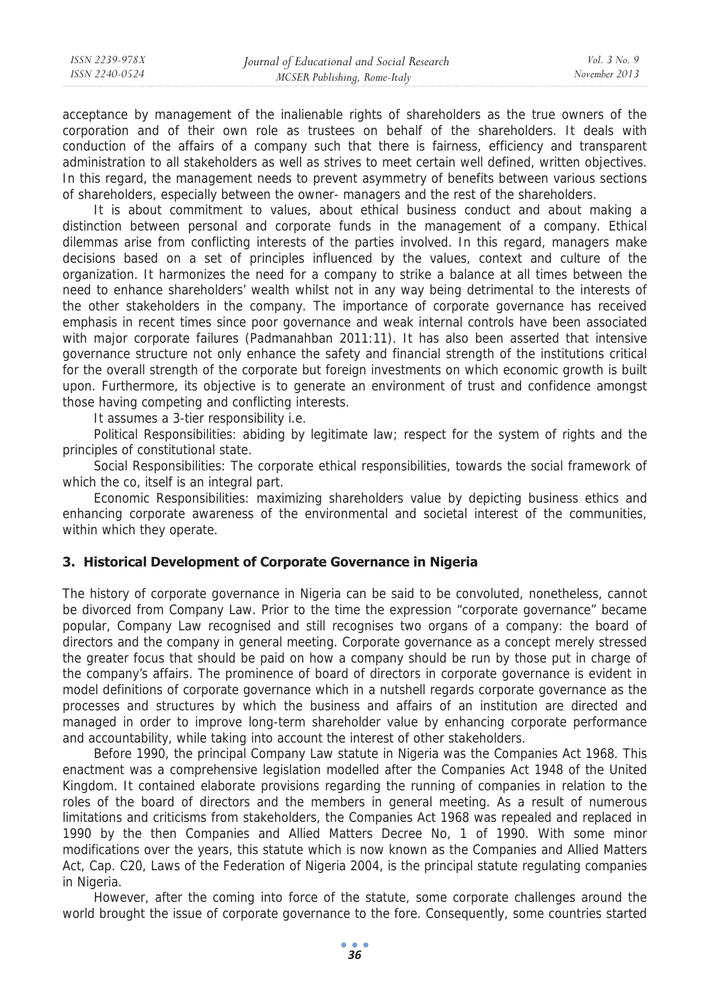acceptance by management of the inalienable rights of shareholders as the true owners of the corporation and of their own role as trustees on behalf of the shareholders. It deals with conduction of the affairs of a company such that there is fairness, efficiency and transparent administration to all stakeholders as well as strives to meet certain well defined, written objectives. In this regard, the management needs to prevent asymmetry of benefits between various sections of shareholders, especially between the owner- managers and the rest of the shareholders.

It is about commitment to values, about ethical business conduct and about making a distinction between personal and corporate funds in the management of a company. Ethical dilemmas arise from conflicting interests of the parties involved. In this regard, managers make decisions based on a set of principles influenced by the values, context and culture of the organization. It harmonizes the need for a company to strike a balance at all times between the need to enhance shareholders' wealth whilst not in any way being detrimental to the interests of the other stakeholders in the company. The importance of corporate governance has received emphasis in recent times since poor governance and weak internal controls have been associated with major corporate failures (Padmanahban 2011:11). It has also been asserted that intensive governance structure not only enhance the safety and financial strength of the institutions critical for the overall strength of the corporate but foreign investments on which economic growth is built upon. Furthermore, its objective is to generate an environment of trust and confidence amongst those having competing and conflicting interests.

It assumes a 3-tier responsibility i.e.

Political Responsibilities: abiding by legitimate law; respect for the system of rights and the principles of constitutional state.

Social Responsibilities: The corporate ethical responsibilities, towards the social framework of which the co, itself is an integral part.

Economic Responsibilities: maximizing shareholders value by depicting business ethics and enhancing corporate awareness of the environmental and societal interest of the communities, within which they operate.

### **3. Historical Development of Corporate Governance in Nigeria**

The history of corporate governance in Nigeria can be said to be convoluted, nonetheless, cannot be divorced from Company Law. Prior to the time the expression "corporate governance" became popular, Company Law recognised and still recognises two organs of a company: the board of directors and the company in general meeting. Corporate governance as a concept merely stressed the greater focus that should be paid on how a company should be run by those put in charge of the company's affairs. The prominence of board of directors in corporate governance is evident in model definitions of corporate governance which in a nutshell regards corporate governance as the processes and structures by which the business and affairs of an institution are directed and managed in order to improve long-term shareholder value by enhancing corporate performance and accountability, while taking into account the interest of other stakeholders.

Before 1990, the principal Company Law statute in Nigeria was the Companies Act 1968. This enactment was a comprehensive legislation modelled after the Companies Act 1948 of the United Kingdom. It contained elaborate provisions regarding the running of companies in relation to the roles of the board of directors and the members in general meeting. As a result of numerous limitations and criticisms from stakeholders, the Companies Act 1968 was repealed and replaced in 1990 by the then Companies and Allied Matters Decree No, 1 of 1990. With some minor modifications over the years, this statute which is now known as the Companies and Allied Matters Act, Cap. C20, Laws of the Federation of Nigeria 2004, is the principal statute regulating companies in Nigeria.

However, after the coming into force of the statute, some corporate challenges around the world brought the issue of corporate governance to the fore. Consequently, some countries started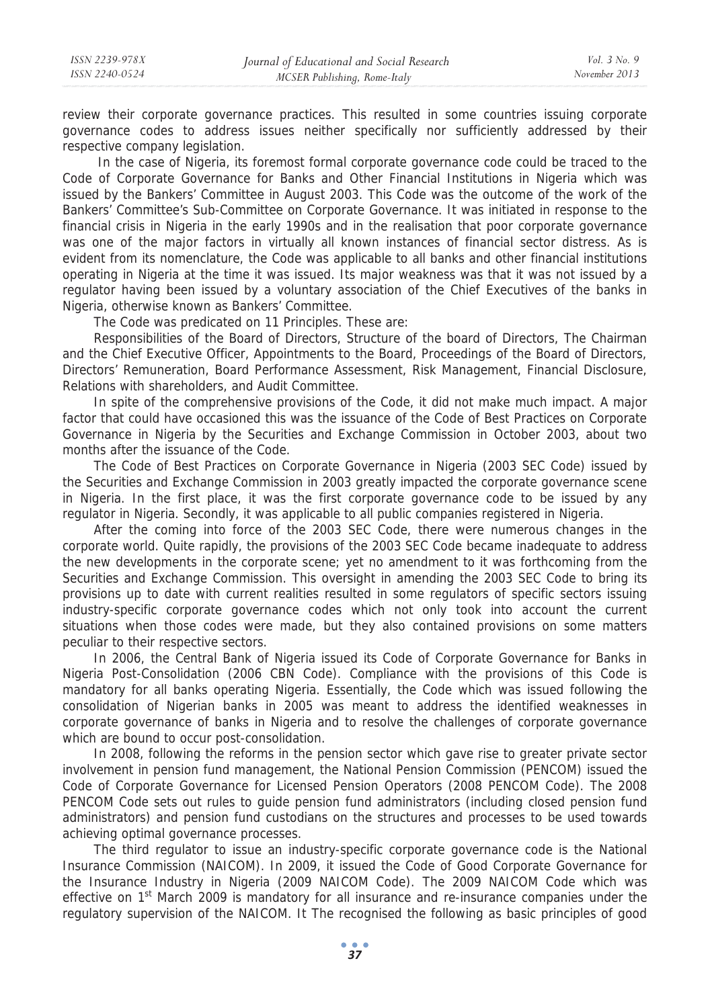review their corporate governance practices. This resulted in some countries issuing corporate governance codes to address issues neither specifically nor sufficiently addressed by their respective company legislation.

 In the case of Nigeria, its foremost formal corporate governance code could be traced to the Code of Corporate Governance for Banks and Other Financial Institutions in Nigeria which was issued by the Bankers' Committee in August 2003. This Code was the outcome of the work of the Bankers' Committee's Sub-Committee on Corporate Governance. It was initiated in response to the financial crisis in Nigeria in the early 1990s and in the realisation that poor corporate governance was one of the major factors in virtually all known instances of financial sector distress. As is evident from its nomenclature, the Code was applicable to all banks and other financial institutions operating in Nigeria at the time it was issued. Its major weakness was that it was not issued by a regulator having been issued by a voluntary association of the Chief Executives of the banks in Nigeria, otherwise known as Bankers' Committee.

The Code was predicated on 11 Principles. These are:

Responsibilities of the Board of Directors, Structure of the board of Directors, The Chairman and the Chief Executive Officer, Appointments to the Board, Proceedings of the Board of Directors, Directors' Remuneration, Board Performance Assessment, Risk Management, Financial Disclosure, Relations with shareholders, and Audit Committee.

In spite of the comprehensive provisions of the Code, it did not make much impact. A major factor that could have occasioned this was the issuance of the Code of Best Practices on Corporate Governance in Nigeria by the Securities and Exchange Commission in October 2003, about two months after the issuance of the Code.

The Code of Best Practices on Corporate Governance in Nigeria (2003 SEC Code) issued by the Securities and Exchange Commission in 2003 greatly impacted the corporate governance scene in Nigeria. In the first place, it was the first corporate governance code to be issued by any regulator in Nigeria. Secondly, it was applicable to all public companies registered in Nigeria.

After the coming into force of the 2003 SEC Code, there were numerous changes in the corporate world. Quite rapidly, the provisions of the 2003 SEC Code became inadequate to address the new developments in the corporate scene; yet no amendment to it was forthcoming from the Securities and Exchange Commission. This oversight in amending the 2003 SEC Code to bring its provisions up to date with current realities resulted in some regulators of specific sectors issuing industry-specific corporate governance codes which not only took into account the current situations when those codes were made, but they also contained provisions on some matters peculiar to their respective sectors.

In 2006, the Central Bank of Nigeria issued its Code of Corporate Governance for Banks in Nigeria Post-Consolidation (2006 CBN Code). Compliance with the provisions of this Code is mandatory for all banks operating Nigeria. Essentially, the Code which was issued following the consolidation of Nigerian banks in 2005 was meant to address the identified weaknesses in corporate governance of banks in Nigeria and to resolve the challenges of corporate governance which are bound to occur post-consolidation.

In 2008, following the reforms in the pension sector which gave rise to greater private sector involvement in pension fund management, the National Pension Commission (PENCOM) issued the Code of Corporate Governance for Licensed Pension Operators (2008 PENCOM Code). The 2008 PENCOM Code sets out rules to guide pension fund administrators (including closed pension fund administrators) and pension fund custodians on the structures and processes to be used towards achieving optimal governance processes.

The third regulator to issue an industry-specific corporate governance code is the National Insurance Commission (NAICOM). In 2009, it issued the Code of Good Corporate Governance for the Insurance Industry in Nigeria (2009 NAICOM Code). The 2009 NAICOM Code which was effective on 1<sup>st</sup> March 2009 is mandatory for all insurance and re-insurance companies under the regulatory supervision of the NAICOM. It The recognised the following as basic principles of good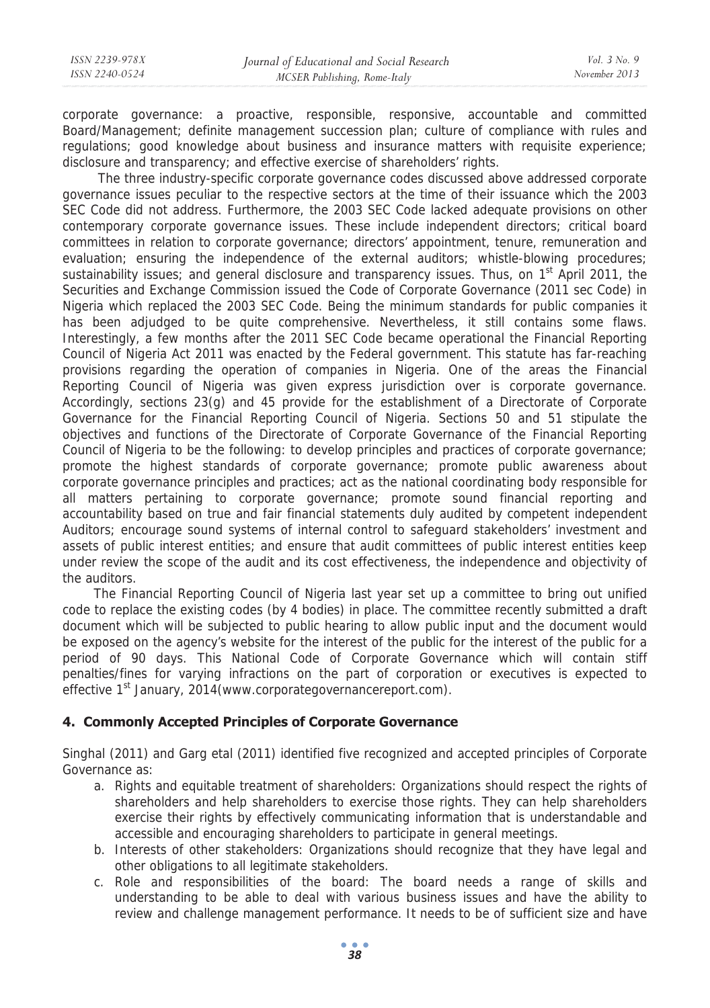corporate governance: a proactive, responsible, responsive, accountable and committed Board/Management; definite management succession plan; culture of compliance with rules and regulations; good knowledge about business and insurance matters with requisite experience; disclosure and transparency; and effective exercise of shareholders' rights.

 The three industry-specific corporate governance codes discussed above addressed corporate governance issues peculiar to the respective sectors at the time of their issuance which the 2003 SEC Code did not address. Furthermore, the 2003 SEC Code lacked adequate provisions on other contemporary corporate governance issues. These include independent directors; critical board committees in relation to corporate governance; directors' appointment, tenure, remuneration and evaluation; ensuring the independence of the external auditors; whistle-blowing procedures; sustainability issues; and general disclosure and transparency issues. Thus, on  $1<sup>st</sup>$  April 2011, the Securities and Exchange Commission issued the Code of Corporate Governance (2011 sec Code) in Nigeria which replaced the 2003 SEC Code. Being the minimum standards for public companies it has been adjudged to be quite comprehensive. Nevertheless, it still contains some flaws. Interestingly, a few months after the 2011 SEC Code became operational the Financial Reporting Council of Nigeria Act 2011 was enacted by the Federal government. This statute has far-reaching provisions regarding the operation of companies in Nigeria. One of the areas the Financial Reporting Council of Nigeria was given express jurisdiction over is corporate governance. Accordingly, sections 23(g) and 45 provide for the establishment of a Directorate of Corporate Governance for the Financial Reporting Council of Nigeria. Sections 50 and 51 stipulate the objectives and functions of the Directorate of Corporate Governance of the Financial Reporting Council of Nigeria to be the following: to develop principles and practices of corporate governance; promote the highest standards of corporate governance; promote public awareness about corporate governance principles and practices; act as the national coordinating body responsible for all matters pertaining to corporate governance; promote sound financial reporting and accountability based on true and fair financial statements duly audited by competent independent Auditors; encourage sound systems of internal control to safeguard stakeholders' investment and assets of public interest entities; and ensure that audit committees of public interest entities keep under review the scope of the audit and its cost effectiveness, the independence and objectivity of the auditors.

The Financial Reporting Council of Nigeria last year set up a committee to bring out unified code to replace the existing codes (by 4 bodies) in place. The committee recently submitted a draft document which will be subjected to public hearing to allow public input and the document would be exposed on the agency's website for the interest of the public for the interest of the public for a period of 90 days. This National Code of Corporate Governance which will contain stiff penalties/fines for varying infractions on the part of corporation or executives is expected to effective 1<sup>st</sup> January, 2014(www.corporategovernancereport.com).

## **4. Commonly Accepted Principles of Corporate Governance**

Singhal (2011) and Garg etal (2011) identified five recognized and accepted principles of Corporate Governance as:

- a. Rights and equitable treatment of shareholders: Organizations should respect the rights of shareholders and help shareholders to exercise those rights. They can help shareholders exercise their rights by effectively communicating information that is understandable and accessible and encouraging shareholders to participate in general meetings.
- b. Interests of other stakeholders: Organizations should recognize that they have legal and other obligations to all legitimate stakeholders.
- c. Role and responsibilities of the board: The board needs a range of skills and understanding to be able to deal with various business issues and have the ability to review and challenge management performance. It needs to be of sufficient size and have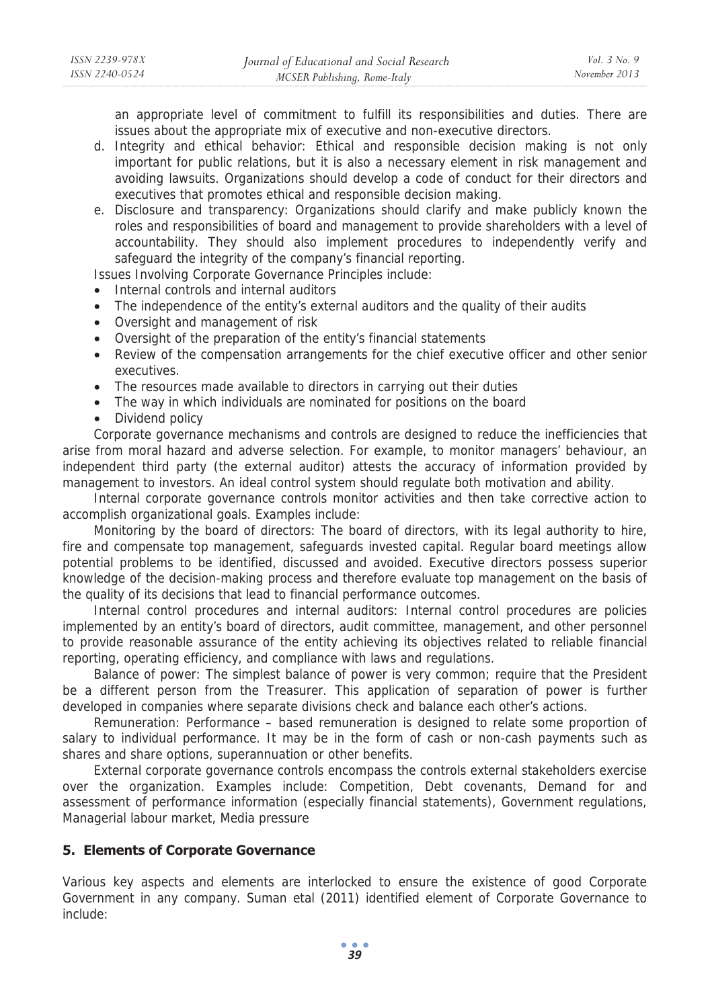an appropriate level of commitment to fulfill its responsibilities and duties. There are issues about the appropriate mix of executive and non-executive directors.

- d. Integrity and ethical behavior: Ethical and responsible decision making is not only important for public relations, but it is also a necessary element in risk management and avoiding lawsuits. Organizations should develop a code of conduct for their directors and executives that promotes ethical and responsible decision making.
- e. Disclosure and transparency: Organizations should clarify and make publicly known the roles and responsibilities of board and management to provide shareholders with a level of accountability. They should also implement procedures to independently verify and safeguard the integrity of the company's financial reporting.

Issues Involving Corporate Governance Principles include:

- Internal controls and internal auditors
- The independence of the entity's external auditors and the quality of their audits
- Oversight and management of risk
- Oversight of the preparation of the entity's financial statements
- Review of the compensation arrangements for the chief executive officer and other senior executives.
- The resources made available to directors in carrying out their duties
- The way in which individuals are nominated for positions on the board
- Dividend policy

Corporate governance mechanisms and controls are designed to reduce the inefficiencies that arise from moral hazard and adverse selection. For example, to monitor managers' behaviour, an independent third party (the external auditor) attests the accuracy of information provided by management to investors. An ideal control system should regulate both motivation and ability.

Internal corporate governance controls monitor activities and then take corrective action to accomplish organizational goals. Examples include:

Monitoring by the board of directors: The board of directors, with its legal authority to hire, fire and compensate top management, safeguards invested capital. Regular board meetings allow potential problems to be identified, discussed and avoided. Executive directors possess superior knowledge of the decision-making process and therefore evaluate top management on the basis of the quality of its decisions that lead to financial performance outcomes.

Internal control procedures and internal auditors: Internal control procedures are policies implemented by an entity's board of directors, audit committee, management, and other personnel to provide reasonable assurance of the entity achieving its objectives related to reliable financial reporting, operating efficiency, and compliance with laws and regulations.

Balance of power: The simplest balance of power is very common; require that the President be a different person from the Treasurer. This application of separation of power is further developed in companies where separate divisions check and balance each other's actions.

Remuneration: Performance – based remuneration is designed to relate some proportion of salary to individual performance. It may be in the form of cash or non-cash payments such as shares and share options, superannuation or other benefits.

External corporate governance controls encompass the controls external stakeholders exercise over the organization. Examples include: Competition, Debt covenants, Demand for and assessment of performance information (especially financial statements), Government regulations, Managerial labour market, Media pressure

### **5. Elements of Corporate Governance**

Various key aspects and elements are interlocked to ensure the existence of good Corporate Government in any company. Suman etal (2011) identified element of Corporate Governance to include: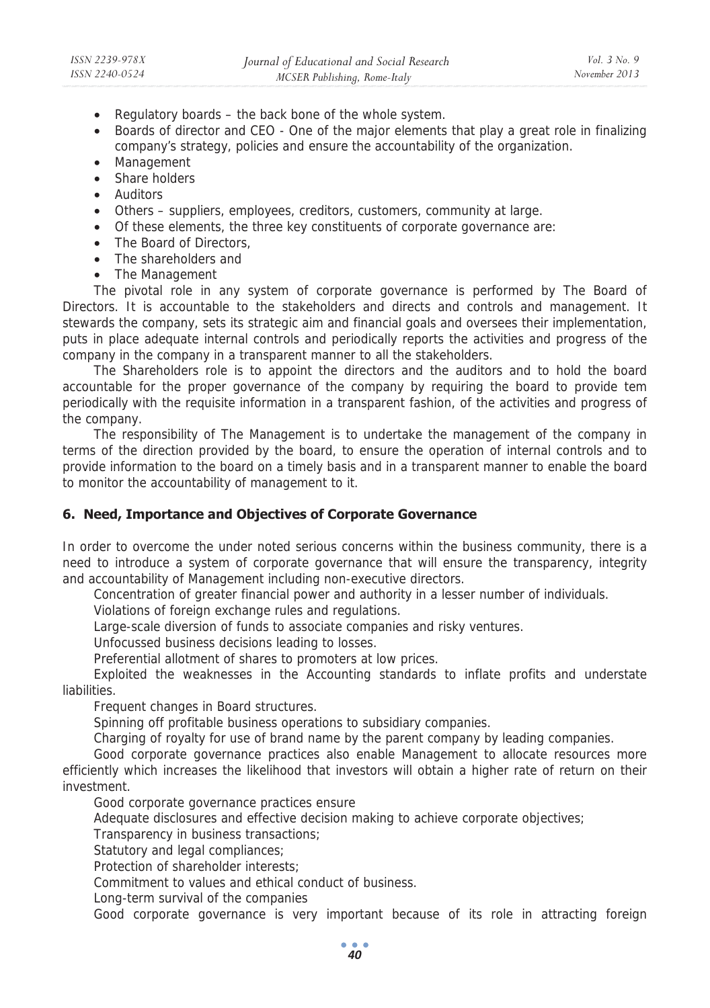- Regulatory boards the back bone of the whole system.
- Boards of director and CEO One of the major elements that play a great role in finalizing company's strategy, policies and ensure the accountability of the organization.
- Management
- Share holders
- Auditors
- Others suppliers, employees, creditors, customers, community at large.
- Of these elements, the three key constituents of corporate governance are:
- The Board of Directors,
- The shareholders and
- The Management

The pivotal role in any system of corporate governance is performed by The Board of Directors. It is accountable to the stakeholders and directs and controls and management. It stewards the company, sets its strategic aim and financial goals and oversees their implementation, puts in place adequate internal controls and periodically reports the activities and progress of the company in the company in a transparent manner to all the stakeholders.

The Shareholders role is to appoint the directors and the auditors and to hold the board accountable for the proper governance of the company by requiring the board to provide tem periodically with the requisite information in a transparent fashion, of the activities and progress of the company.

The responsibility of The Management is to undertake the management of the company in terms of the direction provided by the board, to ensure the operation of internal controls and to provide information to the board on a timely basis and in a transparent manner to enable the board to monitor the accountability of management to it.

### **6. Need, Importance and Objectives of Corporate Governance**

In order to overcome the under noted serious concerns within the business community, there is a need to introduce a system of corporate governance that will ensure the transparency, integrity and accountability of Management including non-executive directors.

Concentration of greater financial power and authority in a lesser number of individuals.

Violations of foreign exchange rules and regulations.

Large-scale diversion of funds to associate companies and risky ventures.

Unfocussed business decisions leading to losses.

Preferential allotment of shares to promoters at low prices.

Exploited the weaknesses in the Accounting standards to inflate profits and understate liabilities.

Frequent changes in Board structures.

Spinning off profitable business operations to subsidiary companies.

Charging of royalty for use of brand name by the parent company by leading companies.

Good corporate governance practices also enable Management to allocate resources more efficiently which increases the likelihood that investors will obtain a higher rate of return on their investment.

Good corporate governance practices ensure

Adequate disclosures and effective decision making to achieve corporate objectives;

Transparency in business transactions;

Statutory and legal compliances;

Protection of shareholder interests;

Commitment to values and ethical conduct of business.

Long-term survival of the companies

Good corporate governance is very important because of its role in attracting foreign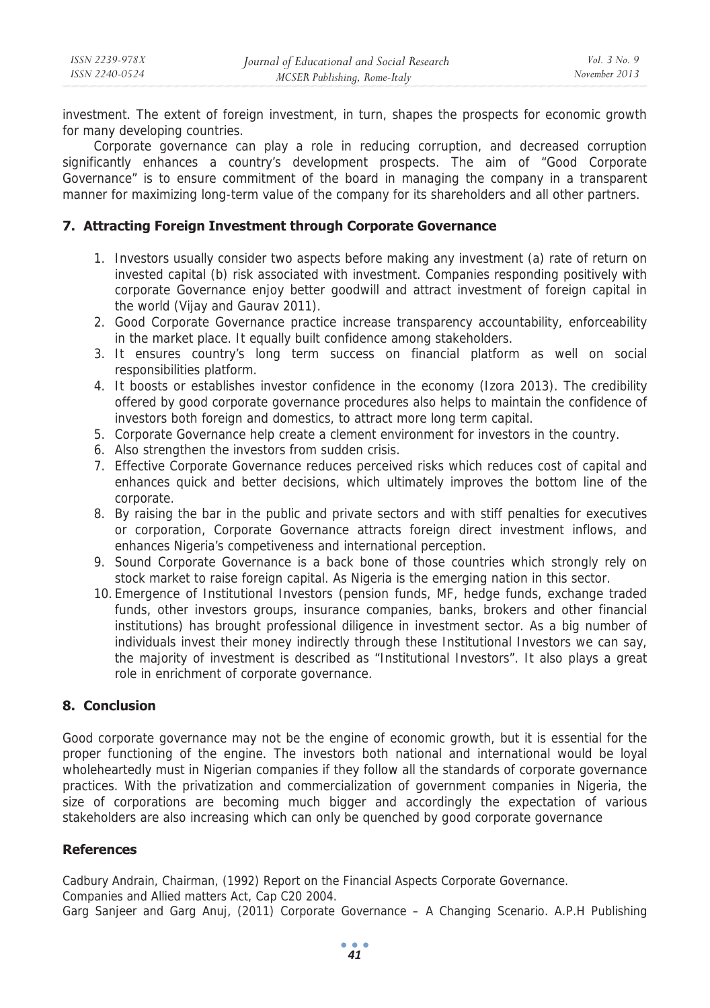investment. The extent of foreign investment, in turn, shapes the prospects for economic growth for many developing countries.

Corporate governance can play a role in reducing corruption, and decreased corruption significantly enhances a country's development prospects. The aim of "Good Corporate Governance" is to ensure commitment of the board in managing the company in a transparent manner for maximizing long-term value of the company for its shareholders and all other partners.

### **7. Attracting Foreign Investment through Corporate Governance**

- 1. Investors usually consider two aspects before making any investment (a) rate of return on invested capital (b) risk associated with investment. Companies responding positively with corporate Governance enjoy better goodwill and attract investment of foreign capital in the world (Vijay and Gaurav 2011).
- 2. Good Corporate Governance practice increase transparency accountability, enforceability in the market place. It equally built confidence among stakeholders.
- 3. It ensures country's long term success on financial platform as well on social responsibilities platform.
- 4. It boosts or establishes investor confidence in the economy (Izora 2013). The credibility offered by good corporate governance procedures also helps to maintain the confidence of investors both foreign and domestics, to attract more long term capital.
- 5. Corporate Governance help create a clement environment for investors in the country.
- 6. Also strengthen the investors from sudden crisis.
- 7. Effective Corporate Governance reduces perceived risks which reduces cost of capital and enhances quick and better decisions, which ultimately improves the bottom line of the corporate.
- 8. By raising the bar in the public and private sectors and with stiff penalties for executives or corporation, Corporate Governance attracts foreign direct investment inflows, and enhances Nigeria's competiveness and international perception.
- 9. Sound Corporate Governance is a back bone of those countries which strongly rely on stock market to raise foreign capital. As Nigeria is the emerging nation in this sector.
- 10. Emergence of Institutional Investors (pension funds, MF, hedge funds, exchange traded funds, other investors groups, insurance companies, banks, brokers and other financial institutions) has brought professional diligence in investment sector. As a big number of individuals invest their money indirectly through these Institutional Investors we can say, the majority of investment is described as "Institutional Investors". It also plays a great role in enrichment of corporate governance.

### **8. Conclusion**

Good corporate governance may not be the engine of economic growth, but it is essential for the proper functioning of the engine. The investors both national and international would be loyal wholeheartedly must in Nigerian companies if they follow all the standards of corporate governance practices. With the privatization and commercialization of government companies in Nigeria, the size of corporations are becoming much bigger and accordingly the expectation of various stakeholders are also increasing which can only be quenched by good corporate governance

### **References**

Cadbury Andrain, Chairman, (1992) Report on the Financial Aspects Corporate Governance. Companies and Allied matters Act, Cap C20 2004. Garg Sanjeer and Garg Anuj, (2011) Corporate Governance – A Changing Scenario. A.P.H Publishing